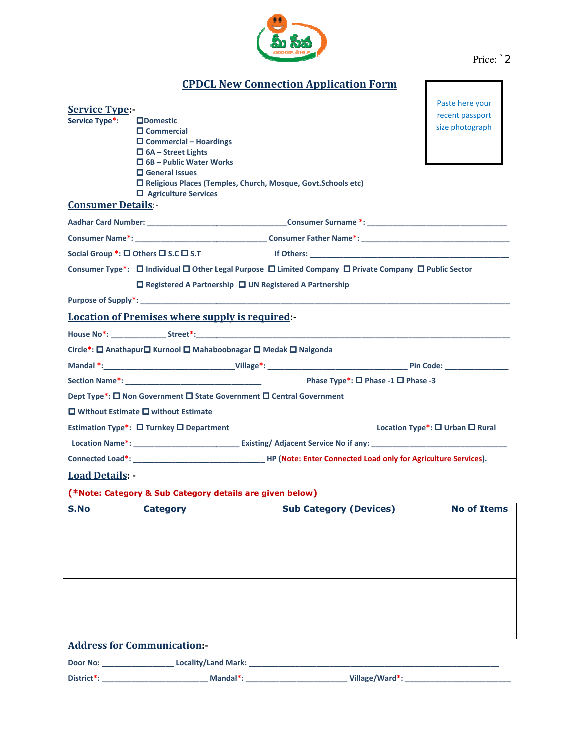

| Price: 2 |  |
|----------|--|
|          |  |

ſ

 $\overline{1}$ 

|  | <b>CPDCL New Connection Application Form</b> |  |
|--|----------------------------------------------|--|
|  |                                              |  |

| $\square$ Domestic<br>size photograph<br>$\square$ Commercial<br>$\Box$ Commercial – Hoardings<br>$\Box$ 6A – Street Lights<br>$\Box$ 6B – Public Water Works<br>$\Box$ General Issues<br>□ Religious Places (Temples, Church, Mosque, Govt.Schools etc)<br>$\Box$ Agriculture Services<br><b>Consumer Details:-</b><br>Social Group $*:\square$ Others $\square$ S.C $\square$ S.T example of $\blacksquare$ others:<br>Consumer Type*: □ Individual □ Other Legal Purpose □ Limited Company □ Private Company □ Public Sector<br>$\Box$ Registered A Partnership $\Box$ UN Registered A Partnership<br><b>Location of Premises where supply is required:</b><br>Circle*: □ Anathapur□ Kurnool □ Mahaboobnagar □ Medak □ Nalgonda<br>Dept Type*: □ Non Government □ State Government □ Central Government<br>$\square$ Without Estimate $\square$ without Estimate<br>Estimation Type*: $\Box$ Turnkey $\Box$ Department<br>Location Type <sup>*</sup> : $\Box$ Urban $\Box$ Rural<br>(*Note: Category & Sub Category details are given below)<br><b>No of Items</b><br><b>Sub Category (Devices)</b><br><b>Category</b> | <b>Service Type:</b>             |  | Paste here your |  |
|---------------------------------------------------------------------------------------------------------------------------------------------------------------------------------------------------------------------------------------------------------------------------------------------------------------------------------------------------------------------------------------------------------------------------------------------------------------------------------------------------------------------------------------------------------------------------------------------------------------------------------------------------------------------------------------------------------------------------------------------------------------------------------------------------------------------------------------------------------------------------------------------------------------------------------------------------------------------------------------------------------------------------------------------------------------------------------------------------------------------------|----------------------------------|--|-----------------|--|
|                                                                                                                                                                                                                                                                                                                                                                                                                                                                                                                                                                                                                                                                                                                                                                                                                                                                                                                                                                                                                                                                                                                           | Service Type*:                   |  | recent passport |  |
|                                                                                                                                                                                                                                                                                                                                                                                                                                                                                                                                                                                                                                                                                                                                                                                                                                                                                                                                                                                                                                                                                                                           |                                  |  |                 |  |
|                                                                                                                                                                                                                                                                                                                                                                                                                                                                                                                                                                                                                                                                                                                                                                                                                                                                                                                                                                                                                                                                                                                           |                                  |  |                 |  |
|                                                                                                                                                                                                                                                                                                                                                                                                                                                                                                                                                                                                                                                                                                                                                                                                                                                                                                                                                                                                                                                                                                                           |                                  |  |                 |  |
|                                                                                                                                                                                                                                                                                                                                                                                                                                                                                                                                                                                                                                                                                                                                                                                                                                                                                                                                                                                                                                                                                                                           |                                  |  |                 |  |
|                                                                                                                                                                                                                                                                                                                                                                                                                                                                                                                                                                                                                                                                                                                                                                                                                                                                                                                                                                                                                                                                                                                           |                                  |  |                 |  |
|                                                                                                                                                                                                                                                                                                                                                                                                                                                                                                                                                                                                                                                                                                                                                                                                                                                                                                                                                                                                                                                                                                                           |                                  |  |                 |  |
|                                                                                                                                                                                                                                                                                                                                                                                                                                                                                                                                                                                                                                                                                                                                                                                                                                                                                                                                                                                                                                                                                                                           |                                  |  |                 |  |
|                                                                                                                                                                                                                                                                                                                                                                                                                                                                                                                                                                                                                                                                                                                                                                                                                                                                                                                                                                                                                                                                                                                           |                                  |  |                 |  |
|                                                                                                                                                                                                                                                                                                                                                                                                                                                                                                                                                                                                                                                                                                                                                                                                                                                                                                                                                                                                                                                                                                                           |                                  |  |                 |  |
|                                                                                                                                                                                                                                                                                                                                                                                                                                                                                                                                                                                                                                                                                                                                                                                                                                                                                                                                                                                                                                                                                                                           |                                  |  |                 |  |
|                                                                                                                                                                                                                                                                                                                                                                                                                                                                                                                                                                                                                                                                                                                                                                                                                                                                                                                                                                                                                                                                                                                           |                                  |  |                 |  |
|                                                                                                                                                                                                                                                                                                                                                                                                                                                                                                                                                                                                                                                                                                                                                                                                                                                                                                                                                                                                                                                                                                                           |                                  |  |                 |  |
|                                                                                                                                                                                                                                                                                                                                                                                                                                                                                                                                                                                                                                                                                                                                                                                                                                                                                                                                                                                                                                                                                                                           |                                  |  |                 |  |
|                                                                                                                                                                                                                                                                                                                                                                                                                                                                                                                                                                                                                                                                                                                                                                                                                                                                                                                                                                                                                                                                                                                           |                                  |  |                 |  |
|                                                                                                                                                                                                                                                                                                                                                                                                                                                                                                                                                                                                                                                                                                                                                                                                                                                                                                                                                                                                                                                                                                                           |                                  |  |                 |  |
|                                                                                                                                                                                                                                                                                                                                                                                                                                                                                                                                                                                                                                                                                                                                                                                                                                                                                                                                                                                                                                                                                                                           |                                  |  |                 |  |
|                                                                                                                                                                                                                                                                                                                                                                                                                                                                                                                                                                                                                                                                                                                                                                                                                                                                                                                                                                                                                                                                                                                           |                                  |  |                 |  |
|                                                                                                                                                                                                                                                                                                                                                                                                                                                                                                                                                                                                                                                                                                                                                                                                                                                                                                                                                                                                                                                                                                                           |                                  |  |                 |  |
|                                                                                                                                                                                                                                                                                                                                                                                                                                                                                                                                                                                                                                                                                                                                                                                                                                                                                                                                                                                                                                                                                                                           |                                  |  |                 |  |
|                                                                                                                                                                                                                                                                                                                                                                                                                                                                                                                                                                                                                                                                                                                                                                                                                                                                                                                                                                                                                                                                                                                           |                                  |  |                 |  |
|                                                                                                                                                                                                                                                                                                                                                                                                                                                                                                                                                                                                                                                                                                                                                                                                                                                                                                                                                                                                                                                                                                                           |                                  |  |                 |  |
|                                                                                                                                                                                                                                                                                                                                                                                                                                                                                                                                                                                                                                                                                                                                                                                                                                                                                                                                                                                                                                                                                                                           |                                  |  |                 |  |
|                                                                                                                                                                                                                                                                                                                                                                                                                                                                                                                                                                                                                                                                                                                                                                                                                                                                                                                                                                                                                                                                                                                           |                                  |  |                 |  |
|                                                                                                                                                                                                                                                                                                                                                                                                                                                                                                                                                                                                                                                                                                                                                                                                                                                                                                                                                                                                                                                                                                                           | <b>Load Details: -</b>           |  |                 |  |
|                                                                                                                                                                                                                                                                                                                                                                                                                                                                                                                                                                                                                                                                                                                                                                                                                                                                                                                                                                                                                                                                                                                           |                                  |  |                 |  |
|                                                                                                                                                                                                                                                                                                                                                                                                                                                                                                                                                                                                                                                                                                                                                                                                                                                                                                                                                                                                                                                                                                                           | S.No                             |  |                 |  |
|                                                                                                                                                                                                                                                                                                                                                                                                                                                                                                                                                                                                                                                                                                                                                                                                                                                                                                                                                                                                                                                                                                                           |                                  |  |                 |  |
|                                                                                                                                                                                                                                                                                                                                                                                                                                                                                                                                                                                                                                                                                                                                                                                                                                                                                                                                                                                                                                                                                                                           |                                  |  |                 |  |
|                                                                                                                                                                                                                                                                                                                                                                                                                                                                                                                                                                                                                                                                                                                                                                                                                                                                                                                                                                                                                                                                                                                           |                                  |  |                 |  |
|                                                                                                                                                                                                                                                                                                                                                                                                                                                                                                                                                                                                                                                                                                                                                                                                                                                                                                                                                                                                                                                                                                                           |                                  |  |                 |  |
|                                                                                                                                                                                                                                                                                                                                                                                                                                                                                                                                                                                                                                                                                                                                                                                                                                                                                                                                                                                                                                                                                                                           |                                  |  |                 |  |
|                                                                                                                                                                                                                                                                                                                                                                                                                                                                                                                                                                                                                                                                                                                                                                                                                                                                                                                                                                                                                                                                                                                           |                                  |  |                 |  |
|                                                                                                                                                                                                                                                                                                                                                                                                                                                                                                                                                                                                                                                                                                                                                                                                                                                                                                                                                                                                                                                                                                                           |                                  |  |                 |  |
|                                                                                                                                                                                                                                                                                                                                                                                                                                                                                                                                                                                                                                                                                                                                                                                                                                                                                                                                                                                                                                                                                                                           | <b>Address for Communication</b> |  |                 |  |
| Locality/Land Mark: _________________<br>Door No: _________________                                                                                                                                                                                                                                                                                                                                                                                                                                                                                                                                                                                                                                                                                                                                                                                                                                                                                                                                                                                                                                                       |                                  |  |                 |  |

District\*: \_\_\_\_\_\_\_\_\_\_\_\_\_\_\_\_\_\_\_\_\_\_\_\_\_ Mandal \_\_\_\_\_\_\_\_\_\_\_\_ Mandal\*: \_\_\_\_\_\_\_\_\_\_\_\_\_\_\_\_\_\_\_\_\_\_\_\_ Village/Ward\*: \_\_\_\_\_\_\_ : \_\_\_\_\_\_\_\_\_\_\_\_\_\_\_\_\_\_\_\_\_\_\_\_\_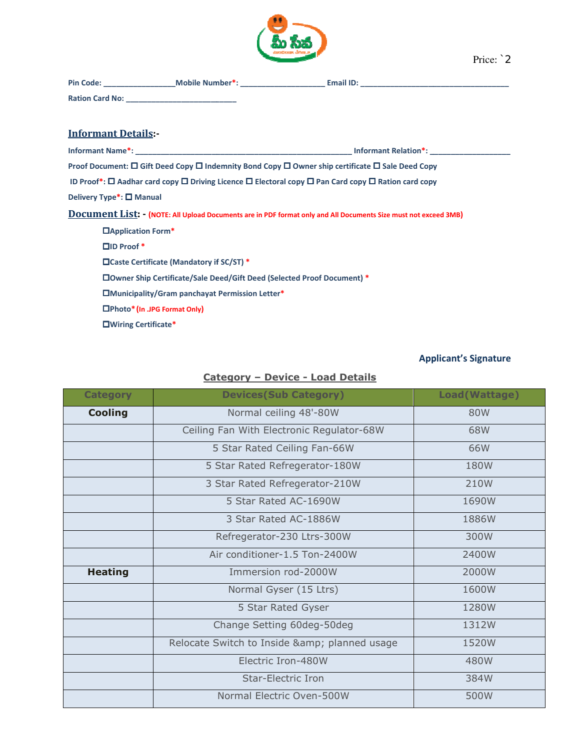

| <b>Pin Code:</b>       | <b>Mobile Number*:</b> | <b>Email ID:</b> |
|------------------------|------------------------|------------------|
| <b>Ration Card No:</b> |                        |                  |

## Informant Details:-

| <b>Informant Details:-</b>                                                                                                   |                      |
|------------------------------------------------------------------------------------------------------------------------------|----------------------|
|                                                                                                                              | Informant Relation*: |
| Proof Document: $\Box$ Gift Deed Copy $\Box$ Indemnity Bond Copy $\Box$ Owner ship certificate $\Box$ Sale Deed Copy         |                      |
| ID Proof*: $\Box$ Aadhar card copy $\Box$ Driving Licence $\Box$ Electoral copy $\Box$ Pan Card copy $\Box$ Ration card copy |                      |
| Delivery Type <sup>*</sup> : □ Manual                                                                                        |                      |
| <b>Document List: - (NOTE: All Upload Documents are in PDF format only and All Documents Size must not exceed 3MB)</b>       |                      |
| □Application Form <sup>*</sup>                                                                                               |                      |
| $\square$ ID Proof *                                                                                                         |                      |
| □Caste Certificate (Mandatory if SC/ST) *                                                                                    |                      |
| <b>OWner Ship Certificate/Sale Deed/Gift Deed (Selected Proof Document) *</b>                                                |                      |
| <b>IMunicipality/Gram panchayat Permission Letter*</b>                                                                       |                      |
| □Photo* (In .JPG Format Only)                                                                                                |                      |
| □Wiring Certificate*                                                                                                         |                      |

## Applicant's Signature Applicant's

## Category Category – Device - Load Details

| <b>Category</b> | <b>Devices(Sub Category)</b>              | Load(Wattage) |
|-----------------|-------------------------------------------|---------------|
| <b>Cooling</b>  | Normal ceiling 48'-80W                    | 80W           |
|                 | Ceiling Fan With Electronic Regulator-68W | 68W           |
|                 | 5 Star Rated Ceiling Fan-66W              | 66W           |
|                 | 5 Star Rated Refregerator-180W            | 180W          |
|                 | 3 Star Rated Refregerator-210W            | 210W          |
|                 | 5 Star Rated AC-1690W                     | 1690W         |
|                 | 3 Star Rated AC-1886W                     | 1886W         |
|                 | Refregerator-230 Ltrs-300W                | 300W          |
|                 | Air conditioner-1.5 Ton-2400W             | 2400W         |
| <b>Heating</b>  | Immersion rod-2000W                       | 2000W         |
|                 | Normal Gyser (15 Ltrs)                    | 1600W         |
|                 | 5 Star Rated Gyser                        | 1280W         |
|                 | Change Setting 60deg-50deg                | 1312W         |
|                 | Relocate Switch to Inside & planned usage | 1520W         |
|                 | Electric Iron-480W                        | 480W          |
|                 | <b>Star-Electric Iron</b>                 | 384W          |
|                 | Normal Electric Oven-500W                 | 500W          |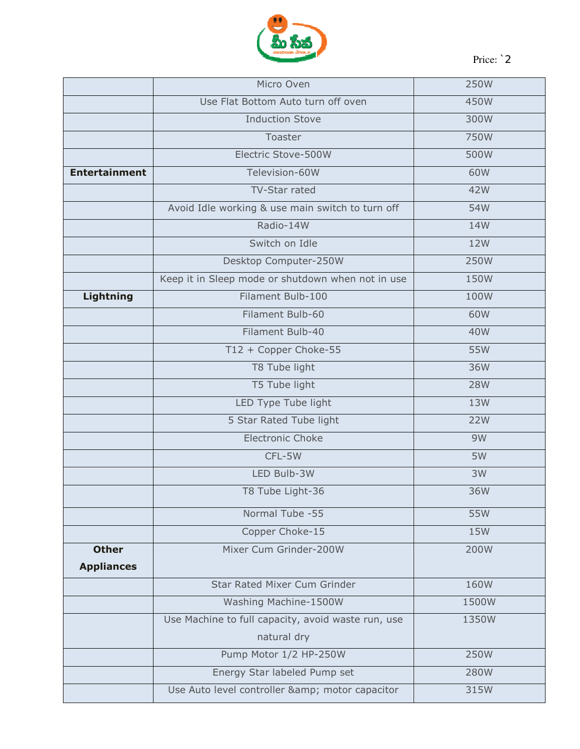

Price: `2

|                      | Micro Oven                                         | 250W       |
|----------------------|----------------------------------------------------|------------|
|                      | Use Flat Bottom Auto turn off oven                 | 450W       |
|                      | <b>Induction Stove</b>                             | 300W       |
|                      | Toaster                                            | 750W       |
|                      | Electric Stove-500W                                | 500W       |
| <b>Entertainment</b> | Television-60W                                     | 60W        |
|                      | TV-Star rated                                      | 42W        |
|                      | Avoid Idle working & use main switch to turn off   | 54W        |
|                      | Radio-14W                                          | 14W        |
|                      | Switch on Idle                                     | 12W        |
|                      | Desktop Computer-250W                              | 250W       |
|                      | Keep it in Sleep mode or shutdown when not in use  | 150W       |
| Lightning            | Filament Bulb-100                                  | 100W       |
|                      | Filament Bulb-60                                   | 60W        |
|                      | Filament Bulb-40                                   | 40W        |
|                      | T12 + Copper Choke-55                              | 55W        |
|                      | T8 Tube light                                      | 36W        |
|                      | T5 Tube light                                      | <b>28W</b> |
|                      | LED Type Tube light                                | 13W        |
|                      | 5 Star Rated Tube light                            | <b>22W</b> |
|                      | <b>Electronic Choke</b>                            | 9W         |
|                      | CFL-5W                                             | 5W         |
|                      | LED Bulb-3W                                        | 3W         |
|                      | T8 Tube Light-36                                   | 36W        |
|                      | Normal Tube -55                                    | 55W        |
|                      | Copper Choke-15                                    | 15W        |
| <b>Other</b>         | Mixer Cum Grinder-200W                             | 200W       |
| <b>Appliances</b>    |                                                    |            |
|                      | <b>Star Rated Mixer Cum Grinder</b>                | 160W       |
|                      | Washing Machine-1500W                              | 1500W      |
|                      | Use Machine to full capacity, avoid waste run, use | 1350W      |
|                      | natural dry                                        |            |
|                      | Pump Motor 1/2 HP-250W                             | 250W       |
|                      | Energy Star labeled Pump set                       | 280W       |
|                      | Use Auto level controller & motor capacitor        | 315W       |